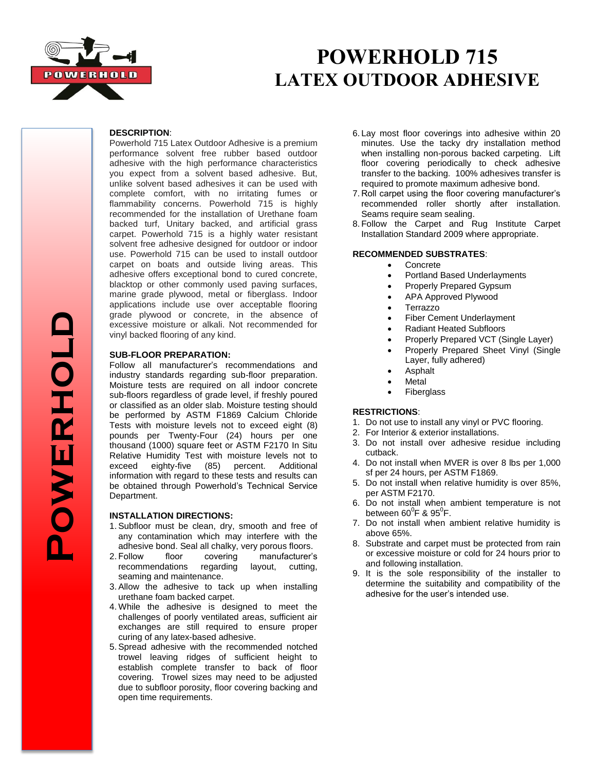

## **POWERHOLD 715 LATEX OUTDOOR ADHESIVE**

#### **DESCRIPTION**:

Powerhold 715 Latex Outdoor Adhesive is a premium performance solvent free rubber based outdoor adhesive with the high performance characteristics you expect from a solvent based adhesive. But, unlike solvent based adhesives it can be used with complete comfort, with no irritating fumes or flammability concerns. Powerhold 715 is highly recommended for the installation of Urethane foam backed turf, Unitary backed, and artificial grass carpet. Powerhold 715 is a highly water resistant solvent free adhesive designed for outdoor or indoor use. Powerhold 715 can be used to install outdoor carpet on boats and outside living areas. This adhesive offers exceptional bond to cured concrete, blacktop or other commonly used paving surfaces, marine grade plywood, metal or fiberglass. Indoor applications include use over acceptable flooring grade plywood or concrete, in the absence of excessive moisture or alkali. Not recommended for vinyl backed flooring of any kind.

#### **SUB-FLOOR PREPARATION:**

Follow all manufacturer's recommendations and industry standards regarding sub-floor preparation. Moisture tests are required on all indoor concrete sub-floors regardless of grade level, if freshly poured or classified as an older slab. Moisture testing should be performed by ASTM F1869 Calcium Chloride Tests with moisture levels not to exceed eight (8) pounds per Twenty-Four (24) hours per one thousand (1000) square feet or ASTM F2170 In Situ Relative Humidity Test with moisture levels not to exceed eighty-five (85) percent. Additional information with regard to these tests and results can be obtained through Powerhold's Technical Service Department.

#### **INSTALLATION DIRECTIONS:**

- 1.Subfloor must be clean, dry, smooth and free of any contamination which may interfere with the adhesive bond. Seal all chalky, very porous floors.<br>2. Follow floor covering manufacturer's
- floor covering manufacturer's recommendations regarding layout, cutting, seaming and maintenance.
- 3.Allow the adhesive to tack up when installing urethane foam backed carpet.
- 4. While the adhesive is designed to meet the challenges of poorly ventilated areas, sufficient air exchanges are still required to ensure proper curing of any latex-based adhesive.
- 5.Spread adhesive with the recommended notched trowel leaving ridges of sufficient height to establish complete transfer to back of floor covering. Trowel sizes may need to be adjusted due to subfloor porosity, floor covering backing and open time requirements.
- 6. Lay most floor coverings into adhesive within 20 minutes. Use the tacky dry installation method when installing non-porous backed carpeting. Lift floor covering periodically to check adhesive transfer to the backing. 100% adhesives transfer is required to promote maximum adhesive bond.
- 7. Roll carpet using the floor covering manufacturer's recommended roller shortly after installation. Seams require seam sealing.
- 8. Follow the Carpet and Rug Institute Carpet Installation Standard 2009 where appropriate.

## **RECOMMENDED SUBSTRATES**:

- Concrete
- Portland Based Underlayments
- Properly Prepared Gypsum
- APA Approved Plywood
- Terrazzo
- Fiber Cement Underlayment
- Radiant Heated Subfloors
- Properly Prepared VCT (Single Layer)
- Properly Prepared Sheet Vinyl (Single Layer, fully adhered)
- Asphalt
- Metal
- Fiberglass

## **RESTRICTIONS**:

- 1. Do not use to install any vinyl or PVC flooring.
- 2. For Interior & exterior installations.
- 3. Do not install over adhesive residue including cutback.
- 4. Do not install when MVER is over 8 lbs per 1,000 sf per 24 hours, per ASTM F1869.
- 5. Do not install when relative humidity is over 85%, per ASTM F2170.
- 6. Do not install when ambient temperature is not between 60 $^0$ F & 95 $^0$ F.
- 7. Do not install when ambient relative humidity is above 65%.
- 8. Substrate and carpet must be protected from rain or excessive moisture or cold for 24 hours prior to and following installation.
- 9. It is the sole responsibility of the installer to determine the suitability and compatibility of the adhesive for the user's intended use.